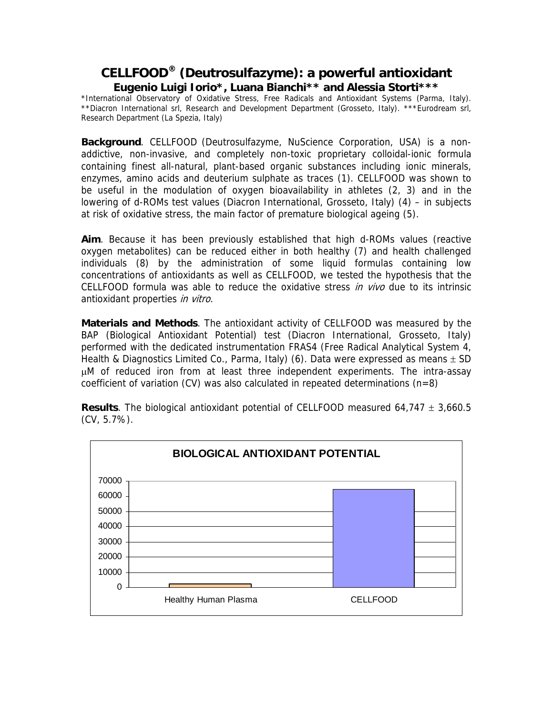## **CELLFOOD® (Deutrosulfazyme): a powerful antioxidant Eugenio Luigi Iorio\*, Luana Bianchi\*\* and Alessia Storti\*\*\***

\*International Observatory of Oxidative Stress, Free Radicals and Antioxidant Systems (Parma, Italy). \*\*Diacron International srl, Research and Development Department (Grosseto, Italy). \*\*\*Eurodream srl, Research Department (La Spezia, Italy)

**Background**. CELLFOOD (Deutrosulfazyme, NuScience Corporation, USA) is a nonaddictive, non-invasive, and completely non-toxic proprietary colloidal-ionic formula containing finest all-natural, plant-based organic substances including ionic minerals, enzymes, amino acids and deuterium sulphate as traces (1). CELLFOOD was shown to be useful in the modulation of oxygen bioavailability in athletes (2, 3) and in the lowering of d-ROMs test values (Diacron International, Grosseto, Italy) (4) – in subjects at risk of oxidative stress, the main factor of premature biological ageing (5).

**Aim**. Because it has been previously established that high d-ROMs values (reactive oxygen metabolites) can be reduced either in both healthy (7) and health challenged individuals (8) by the administration of some liquid formulas containing low concentrations of antioxidants as well as CELLFOOD, we tested the hypothesis that the CELLFOOD formula was able to reduce the oxidative stress *in vivo* due to its intrinsic antioxidant properties in vitro.

**Materials and Methods**. The antioxidant activity of CELLFOOD was measured by the BAP (Biological Antioxidant Potential) test (Diacron International, Grosseto, Italy) performed with the dedicated instrumentation FRAS4 (Free Radical Analytical System 4, Health & Diagnostics Limited Co., Parma, Italy) (6). Data were expressed as means  $\pm$  SD µM of reduced iron from at least three independent experiments. The intra-assay coefficient of variation (CV) was also calculated in repeated determinations ( $n=8$ )



**Results**. The biological antioxidant potential of CELLFOOD measured 64,747 ± 3,660.5 (CV, 5.7%).